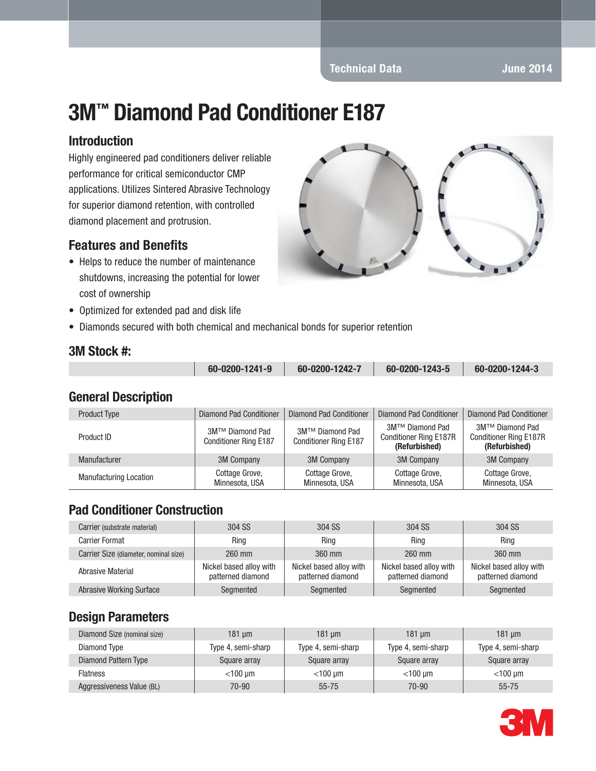# 3M™ Diamond Pad Conditioner E187

#### Introduction

Highly engineered pad conditioners deliver reliable performance for critical semiconductor CMP applications. Utilizes Sintered Abrasive Technology for superior diamond retention, with controlled diamond placement and protrusion.

### Features and Benefits

- Helps to reduce the number of maintenance shutdowns, increasing the potential for lower cost of ownership
- Optimized for extended pad and disk life
- Diamonds secured with both chemical and mechanical bonds for superior retention



#### 3M Stock #:

| 60-0200-1241-9 | 60-0200-1242-7 | 60-0200-1243-5 | 60-0200-1244-3 |
|----------------|----------------|----------------|----------------|
|                |                |                |                |

#### General Description

| <b>Product Type</b>           | Diamond Pad Conditioner                         | Diamond Pad Conditioner                         | <b>Diamond Pad Conditioner</b>                                    | <b>Diamond Pad Conditioner</b>                                    |
|-------------------------------|-------------------------------------------------|-------------------------------------------------|-------------------------------------------------------------------|-------------------------------------------------------------------|
| Product ID                    | 3M™ Diamond Pad<br><b>Conditioner Ring E187</b> | 3M™ Diamond Pad<br><b>Conditioner Ring E187</b> | 3M™ Diamond Pad<br><b>Conditioner Ring E187R</b><br>(Refurbished) | 3M™ Diamond Pad<br><b>Conditioner Ring E187R</b><br>(Refurbished) |
| Manufacturer                  | 3M Company                                      | <b>3M Company</b>                               | <b>3M Company</b>                                                 | <b>3M Company</b>                                                 |
| <b>Manufacturing Location</b> | Cottage Grove,<br>Minnesota, USA                | Cottage Grove,<br>Minnesota, USA                | Cottage Grove,<br>Minnesota, USA                                  | Cottage Grove,<br>Minnesota, USA                                  |

### Pad Conditioner Construction

| Carrier (substrate material)          | 304 SS                                       | 304 SS                                       | 304 SS                                       | 304 SS                                       |
|---------------------------------------|----------------------------------------------|----------------------------------------------|----------------------------------------------|----------------------------------------------|
| <b>Carrier Format</b>                 | Ring                                         | Ring                                         | Ring                                         | Ring                                         |
| Carrier Size (diameter, nominal size) | 260 mm                                       | 360 mm                                       | 260 mm                                       | 360 mm                                       |
| Abrasive Material                     | Nickel based alloy with<br>patterned diamond | Nickel based alloy with<br>patterned diamond | Nickel based alloy with<br>patterned diamond | Nickel based alloy with<br>patterned diamond |
| <b>Abrasive Working Surface</b>       | Segmented                                    | Segmented                                    | Segmented                                    | Segmented                                    |

### Design Parameters

| Diamond Size (nominal size) | 181 um             | $181 \text{ um}$   | 181 um             | 181 um             |
|-----------------------------|--------------------|--------------------|--------------------|--------------------|
| Diamond Type                | Type 4, semi-sharp | Type 4, semi-sharp | Type 4, semi-sharp | Type 4, semi-sharp |
| Diamond Pattern Type        | Square array       | Square array       | Square array       | Square array       |
| <b>Flatness</b>             | $<$ 100 um         | $<$ 100 µm         | $<$ 100 um         | $<$ 100 µm         |
| Aggressiveness Value (BL)   | 70-90              | $55 - 75$          | $70 - 90$          | $55 - 75$          |